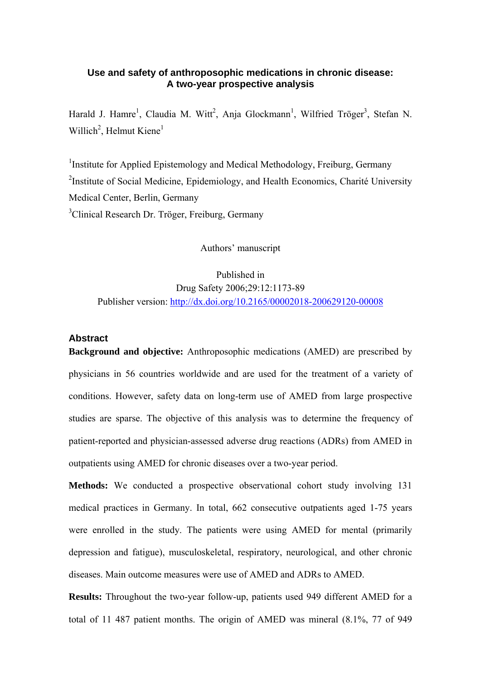# **Use and safety of anthroposophic medications in chronic disease: A two-year prospective analysis**

Harald J. Hamre<sup>1</sup>, Claudia M. Witt<sup>2</sup>, Anja Glockmann<sup>1</sup>, Wilfried Tröger<sup>3</sup>, Stefan N. Willich<sup>2</sup>, Helmut Kiene<sup>1</sup>

<sup>1</sup> Institute for Applied Epistemology and Medical Methodology, Freiburg, Germany <sup>2</sup>Institute of Social Medicine, Epidemiology, and Health Economics, Charité University Medical Center, Berlin, Germany <sup>3</sup>Clinical Research Dr. Tröger, Freiburg, Germany

Authors' manuscript

Published in Drug Safety 2006;29:12:1173-89 Publisher version: <http://dx.doi.org/10.2165/00002018-200629120-00008>

# **Abstract**

**Background and objective:** Anthroposophic medications (AMED) are prescribed by physicians in 56 countries worldwide and are used for the treatment of a variety of conditions. However, safety data on long-term use of AMED from large prospective studies are sparse. The objective of this analysis was to determine the frequency of patient-reported and physician-assessed adverse drug reactions (ADRs) from AMED in outpatients using AMED for chronic diseases over a two-year period.

**Methods:** We conducted a prospective observational cohort study involving 131 medical practices in Germany. In total, 662 consecutive outpatients aged 1-75 years were enrolled in the study. The patients were using AMED for mental (primarily depression and fatigue), musculoskeletal, respiratory, neurological, and other chronic diseases. Main outcome measures were use of AMED and ADRs to AMED.

**Results:** Throughout the two-year follow-up, patients used 949 different AMED for a total of 11 487 patient months. The origin of AMED was mineral (8.1%, 77 of 949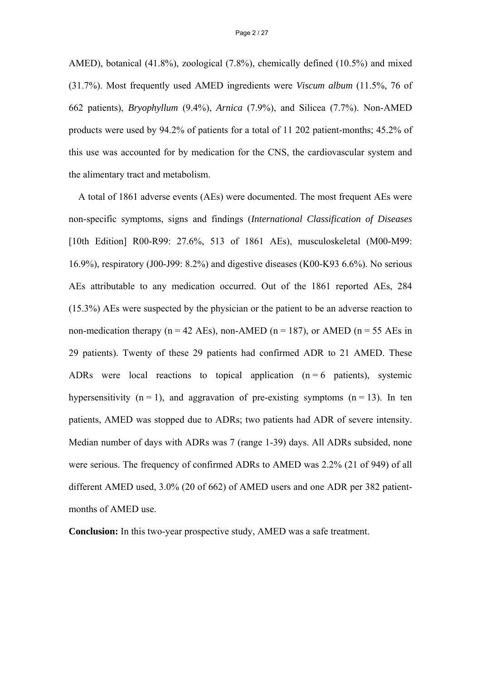AMED), botanical (41.8%), zoological (7.8%), chemically defined (10.5%) and mixed (31.7%). Most frequently used AMED ingredients were *Viscum album* (11.5%, 76 of 662 patients), *Bryophyllum* (9.4%), *Arnica* (7.9%), and Silicea (7.7%). Non-AMED products were used by 94.2% of patients for a total of 11 202 patient-months; 45.2% of this use was accounted for by medication for the CNS, the cardiovascular system and the alimentary tract and metabolism.

A total of 1861 adverse events (AEs) were documented. The most frequent AEs were non-specific symptoms, signs and findings (*International Classification of Diseases*  [10th Edition] R00-R99: 27.6%, 513 of 1861 AEs), musculoskeletal (M00-M99: 16.9%), respiratory (J00-J99: 8.2%) and digestive diseases (K00-K93 6.6%). No serious AEs attributable to any medication occurred. Out of the 1861 reported AEs, 284 (15.3%) AEs were suspected by the physician or the patient to be an adverse reaction to non-medication therapy ( $n = 42$  AEs), non-AMED ( $n = 187$ ), or AMED ( $n = 55$  AEs in 29 patients). Twenty of these 29 patients had confirmed ADR to 21 AMED. These ADRs were local reactions to topical application  $(n = 6$  patients), systemic hypersensitivity  $(n = 1)$ , and aggravation of pre-existing symptoms  $(n = 13)$ . In ten patients, AMED was stopped due to ADRs; two patients had ADR of severe intensity. Median number of days with ADRs was 7 (range 1-39) days. All ADRs subsided, none were serious. The frequency of confirmed ADRs to AMED was 2.2% (21 of 949) of all different AMED used, 3.0% (20 of 662) of AMED users and one ADR per 382 patientmonths of AMED use.

**Conclusion:** In this two-year prospective study, AMED was a safe treatment.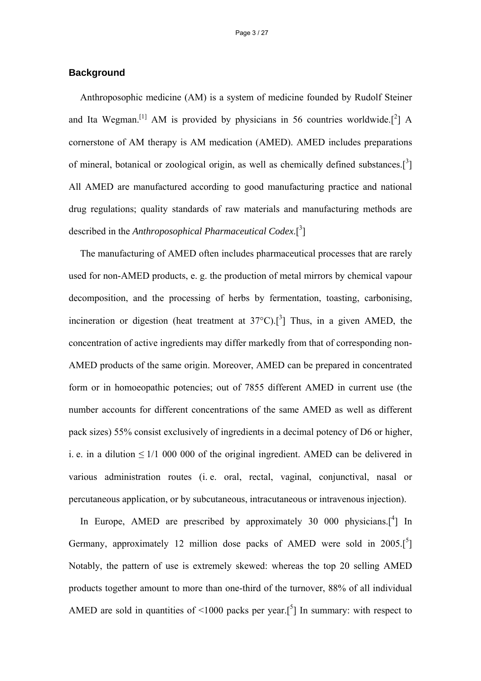## **Background**

Anthroposophic medicine (AM) is a system of medicine founded by Rudolf Steiner and Ita Wegman.<sup>[1]</sup> AM is provided by physicians in 56 countries worldwide.<sup>[2</sup>] A cornerstone of AM therapy is AM medication (AMED). AMED includes preparations of mineral, botanical or zoological origin, as well as chemically defined substances. $\left[ \begin{matrix} 3 \end{matrix} \right]$ All AMED are manufactured according to good manufacturing practice and national drug regulations; quality standards of raw materials and manufacturing methods are described in the *Anthroposophical Pharmaceutical Codex*.<sup>[3</sup>]

The manufacturing of AMED often includes pharmaceutical processes that are rarely used for non-AMED products, e. g. the production of metal mirrors by chemical vapour decomposition, and the processing of herbs by fermentation, toasting, carbonising, incineration or digestion (heat treatment at  $37^{\circ}$ C).<sup>[3</sup>] Thus, in a given AMED, the concentration of active ingredients may differ markedly from that of corresponding non-AMED products of the same origin. Moreover, AMED can be prepared in concentrated form or in homoeopathic potencies; out of 7855 different AMED in current use (the number accounts for different concentrations of the same AMED as well as different pack sizes) 55% consist exclusively of ingredients in a decimal potency of D6 or higher, i. e. in a dilution  $\leq 1/1$  000 000 of the original ingredient. AMED can be delivered in various administration routes (i. e. oral, rectal, vaginal, conjunctival, nasal or percutaneous application, or by subcutaneous, intracutaneous or intravenous injection).

In Europe, AMED are prescribed by approximately 30 000 physicians. $[4]$  In Germany, approximately 12 million dose packs of AMED were sold in  $2005$ .<sup>[5</sup>] Notably, the pattern of use is extremely skewed: whereas the top 20 selling AMED products together amount to more than one-third of the turnover, 88% of all individual AMED are sold in quantities of <1000 packs per year.<sup>[5]</sup> In summary: with respect to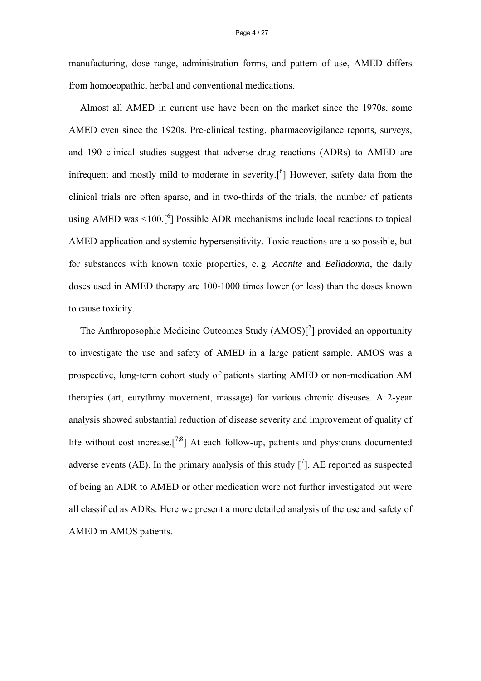manufacturing, dose range, administration forms, and pattern of use, AMED differs from homoeopathic, herbal and conventional medications.

Almost all AMED in current use have been on the market since the 1970s, some AMED even since the 1920s. Pre-clinical testing, pharmacovigilance reports, surveys, and 190 clinical studies suggest that adverse drug reactions (ADRs) to AMED are infrequent and mostly mild to moderate in severity.<sup>[6]</sup> However, safety data from the clinical trials are often sparse, and in two-thirds of the trials, the number of patients using AMED was <100.<sup>[6</sup>] Possible ADR mechanisms include local reactions to topical AMED application and systemic hypersensitivity. Toxic reactions are also possible, but for substances with known toxic properties, e. g. *Aconite* and *Belladonna*, the daily doses used in AMED therapy are 100-1000 times lower (or less) than the doses known to cause toxicity.

The Anthroposophic Medicine Outcomes Study (AMOS)[<sup>7</sup>] provided an opportunity to investigate the use and safety of AMED in a large patient sample. AMOS was a prospective, long-term cohort study of patients starting AMED or non-medication AM therapies (art, eurythmy movement, massage) for various chronic diseases. A 2-year analysis showed substantial reduction of disease severity and improvement of quality of life without cost increase.<sup>[7,8</sup>] At each follow-up, patients and physicians documented adverse events (AE). In the primary analysis of this study  $\left[ \begin{array}{c} 7 \end{array} \right]$ , AE reported as suspected of being an ADR to AMED or other medication were not further investigated but were all classified as ADRs. Here we present a more detailed analysis of the use and safety of AMED in AMOS patients.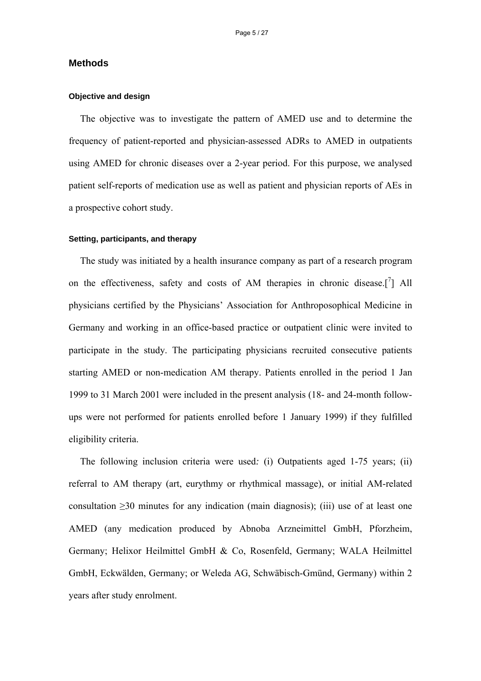## **Methods**

### **Objective and design**

The objective was to investigate the pattern of AMED use and to determine the frequency of patient-reported and physician-assessed ADRs to AMED in outpatients using AMED for chronic diseases over a 2-year period. For this purpose, we analysed patient self-reports of medication use as well as patient and physician reports of AEs in a prospective cohort study.

#### **Setting, participants, and therapy**

The study was initiated by a health insurance company as part of a research program on the effectiveness, safety and costs of AM therapies in chronic disease.<sup>[7</sup>] All physicians certified by the Physicians' Association for Anthroposophical Medicine in Germany and working in an office-based practice or outpatient clinic were invited to participate in the study. The participating physicians recruited consecutive patients starting AMED or non-medication AM therapy. Patients enrolled in the period 1 Jan 1999 to 31 March 2001 were included in the present analysis (18- and 24-month followups were not performed for patients enrolled before 1 January 1999) if they fulfilled eligibility criteria.

The following inclusion criteria were used*:* (i) Outpatients aged 1-75 years; (ii) referral to AM therapy (art, eurythmy or rhythmical massage), or initial AM-related consultation ≥30 minutes for any indication (main diagnosis); (iii) use of at least one AMED (any medication produced by Abnoba Arzneimittel GmbH, Pforzheim, Germany; Helixor Heilmittel GmbH & Co, Rosenfeld, Germany; WALA Heilmittel GmbH, Eckwälden, Germany; or Weleda AG, Schwäbisch-Gmünd, Germany) within 2 years after study enrolment.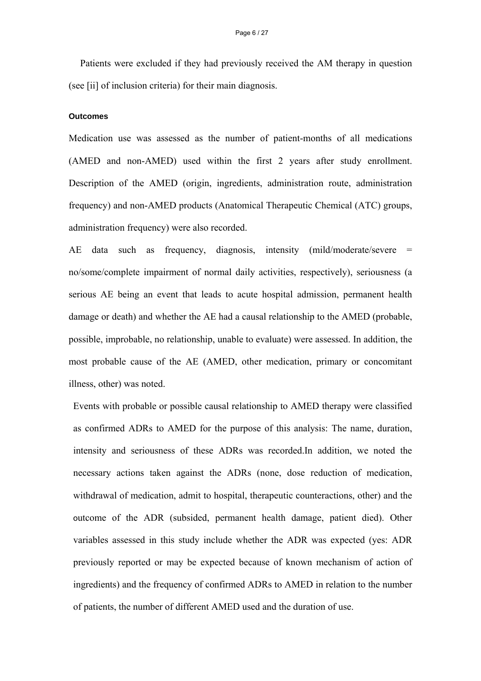Patients were excluded if they had previously received the AM therapy in question (see [ii] of inclusion criteria) for their main diagnosis.

### **Outcomes**

Medication use was assessed as the number of patient-months of all medications (AMED and non-AMED) used within the first 2 years after study enrollment. Description of the AMED (origin, ingredients, administration route, administration frequency) and non-AMED products (Anatomical Therapeutic Chemical (ATC) groups, administration frequency) were also recorded.

AE data such as frequency, diagnosis, intensity (mild/moderate/severe = no/some/complete impairment of normal daily activities, respectively), seriousness (a serious AE being an event that leads to acute hospital admission, permanent health damage or death) and whether the AE had a causal relationship to the AMED (probable, possible, improbable, no relationship, unable to evaluate) were assessed. In addition, the most probable cause of the AE (AMED, other medication, primary or concomitant illness, other) was noted.

Events with probable or possible causal relationship to AMED therapy were classified as confirmed ADRs to AMED for the purpose of this analysis: The name, duration, intensity and seriousness of these ADRs was recorded.In addition, we noted the necessary actions taken against the ADRs (none, dose reduction of medication, withdrawal of medication, admit to hospital, therapeutic counteractions, other) and the outcome of the ADR (subsided, permanent health damage, patient died). Other variables assessed in this study include whether the ADR was expected (yes: ADR previously reported or may be expected because of known mechanism of action of ingredients) and the frequency of confirmed ADRs to AMED in relation to the number of patients, the number of different AMED used and the duration of use.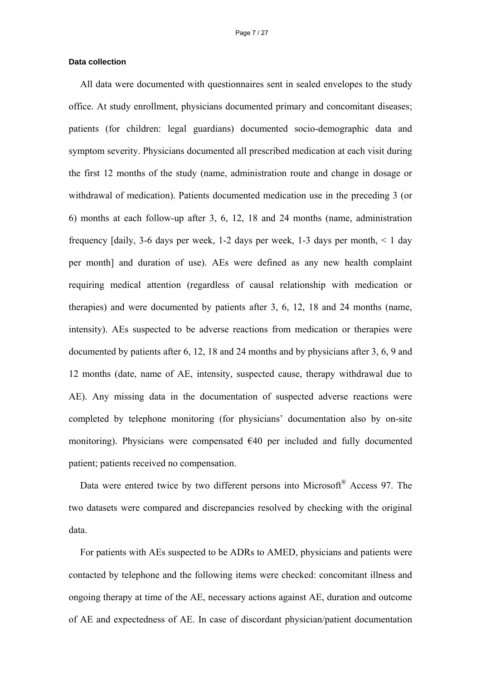## **Data collection**

All data were documented with questionnaires sent in sealed envelopes to the study office. At study enrollment, physicians documented primary and concomitant diseases; patients (for children: legal guardians) documented socio-demographic data and symptom severity. Physicians documented all prescribed medication at each visit during the first 12 months of the study (name, administration route and change in dosage or withdrawal of medication). Patients documented medication use in the preceding 3 (or 6) months at each follow-up after 3, 6, 12, 18 and 24 months (name, administration frequency [daily, 3-6 days per week, 1-2 days per week, 1-3 days per month,  $\leq 1$  day per month] and duration of use). AEs were defined as any new health complaint requiring medical attention (regardless of causal relationship with medication or therapies) and were documented by patients after 3, 6, 12, 18 and 24 months (name, intensity). AEs suspected to be adverse reactions from medication or therapies were documented by patients after 6, 12, 18 and 24 months and by physicians after 3, 6, 9 and 12 months (date, name of AE, intensity, suspected cause, therapy withdrawal due to AE). Any missing data in the documentation of suspected adverse reactions were completed by telephone monitoring (for physicians' documentation also by on-site monitoring). Physicians were compensated  $\epsilon$ 40 per included and fully documented patient; patients received no compensation.

Data were entered twice by two different persons into Microsoft<sup>®</sup> Access 97. The two datasets were compared and discrepancies resolved by checking with the original data.

For patients with AEs suspected to be ADRs to AMED, physicians and patients were contacted by telephone and the following items were checked: concomitant illness and ongoing therapy at time of the AE, necessary actions against AE, duration and outcome of AE and expectedness of AE. In case of discordant physician/patient documentation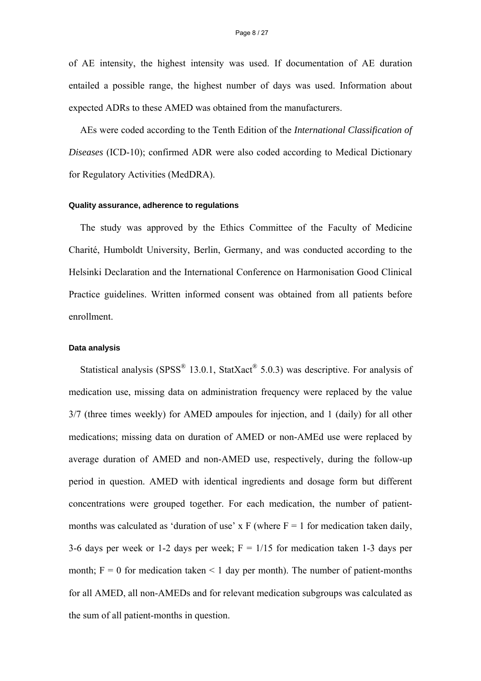of AE intensity, the highest intensity was used. If documentation of AE duration entailed a possible range, the highest number of days was used. Information about expected ADRs to these AMED was obtained from the manufacturers.

AEs were coded according to the Tenth Edition of the *International Classification of Diseases* (ICD-10); confirmed ADR were also coded according to Medical Dictionary for Regulatory Activities (MedDRA).

### **Quality assurance, adherence to regulations**

The study was approved by the Ethics Committee of the Faculty of Medicine Charité, Humboldt University, Berlin, Germany, and was conducted according to the Helsinki Declaration and the International Conference on Harmonisation Good Clinical Practice guidelines. Written informed consent was obtained from all patients before enrollment.

#### **Data analysis**

Statistical analysis (SPSS<sup>®</sup> 13.0.1, StatXact<sup>®</sup> 5.0.3) was descriptive. For analysis of medication use, missing data on administration frequency were replaced by the value 3/7 (three times weekly) for AMED ampoules for injection, and 1 (daily) for all other medications; missing data on duration of AMED or non-AMEd use were replaced by average duration of AMED and non-AMED use, respectively, during the follow-up period in question. AMED with identical ingredients and dosage form but different concentrations were grouped together. For each medication, the number of patientmonths was calculated as 'duration of use' x F (where  $F = 1$  for medication taken daily, 3-6 days per week or 1-2 days per week;  $F = 1/15$  for medication taken 1-3 days per month;  $F = 0$  for medication taken  $\leq 1$  day per month). The number of patient-months for all AMED, all non-AMEDs and for relevant medication subgroups was calculated as the sum of all patient-months in question.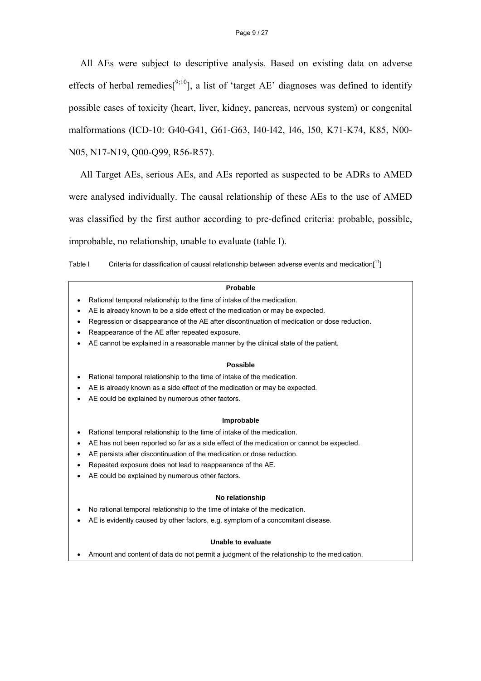All AEs were subject to descriptive analysis. Based on existing data on adverse effects of herbal remedies<sup>[9;10</sup>], a list of 'target AE' diagnoses was defined to identify possible cases of toxicity (heart, liver, kidney, pancreas, nervous system) or congenital malformations (ICD-10: G40-G41, G61-G63, I40-I42, I46, I50, K71-K74, K85, N00- N05, N17-N19, Q00-Q99, R56-R57).

All Target AEs, serious AEs, and AEs reported as suspected to be ADRs to AMED were analysed individually. The causal relationship of these AEs to the use of AMED was classified by the first author according to pre-defined criteria: probable, possible, improbable, no relationship, unable to evaluate (table I).

Table I Criteria for classification of causal relationship between adverse events and medication[11]

#### **Probable**

- Rational temporal relationship to the time of intake of the medication.
- AE is already known to be a side effect of the medication or may be expected.
- Regression or disappearance of the AE after discontinuation of medication or dose reduction.
- Reappearance of the AE after repeated exposure.
- AE cannot be explained in a reasonable manner by the clinical state of the patient.

#### **Possible**

- Rational temporal relationship to the time of intake of the medication.
- AE is already known as a side effect of the medication or may be expected.
- AE could be explained by numerous other factors.

#### **Improbable**

- Rational temporal relationship to the time of intake of the medication.
- AE has not been reported so far as a side effect of the medication or cannot be expected.
- AE persists after discontinuation of the medication or dose reduction.
- Repeated exposure does not lead to reappearance of the AE.
- AE could be explained by numerous other factors.

#### **No relationship**

- No rational temporal relationship to the time of intake of the medication.
- AE is evidently caused by other factors, e.g. symptom of a concomitant disease.

#### **Unable to evaluate**

• Amount and content of data do not permit a judgment of the relationship to the medication.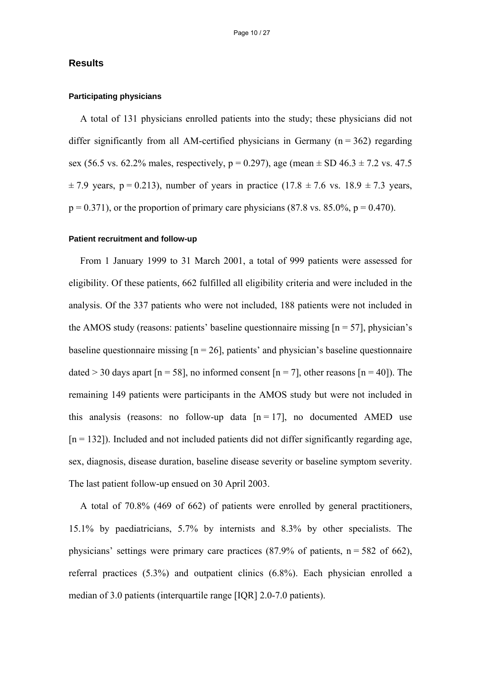## **Results**

## **Participating physicians**

A total of 131 physicians enrolled patients into the study; these physicians did not differ significantly from all AM-certified physicians in Germany  $(n = 362)$  regarding sex (56.5 vs. 62.2% males, respectively,  $p = 0.297$ ), age (mean  $\pm$  SD 46.3  $\pm$  7.2 vs. 47.5  $\pm$  7.9 years, p = 0.213), number of years in practice (17.8  $\pm$  7.6 vs. 18.9  $\pm$  7.3 years,  $p = 0.371$ , or the proportion of primary care physicians (87.8 vs. 85.0%,  $p = 0.470$ ).

#### **Patient recruitment and follow-up**

From 1 January 1999 to 31 March 2001, a total of 999 patients were assessed for eligibility. Of these patients, 662 fulfilled all eligibility criteria and were included in the analysis. Of the 337 patients who were not included, 188 patients were not included in the AMOS study (reasons: patients' baseline questionnaire missing  $[n = 57]$ , physician's baseline questionnaire missing  $[n = 26]$ , patients' and physician's baseline questionnaire dated  $>$  30 days apart [n = 58], no informed consent [n = 7], other reasons [n = 40]). The remaining 149 patients were participants in the AMOS study but were not included in this analysis (reasons: no follow-up data  $[n = 17]$ , no documented AMED use  $[n = 132]$ ). Included and not included patients did not differ significantly regarding age, sex, diagnosis, disease duration, baseline disease severity or baseline symptom severity. The last patient follow-up ensued on 30 April 2003.

A total of 70.8% (469 of 662) of patients were enrolled by general practitioners, 15.1% by paediatricians, 5.7% by internists and 8.3% by other specialists. The physicians' settings were primary care practices  $(87.9\% \text{ of patients}, n = 582 \text{ of } 662)$ , referral practices (5.3%) and outpatient clinics (6.8%). Each physician enrolled a median of 3.0 patients (interquartile range [IQR] 2.0-7.0 patients).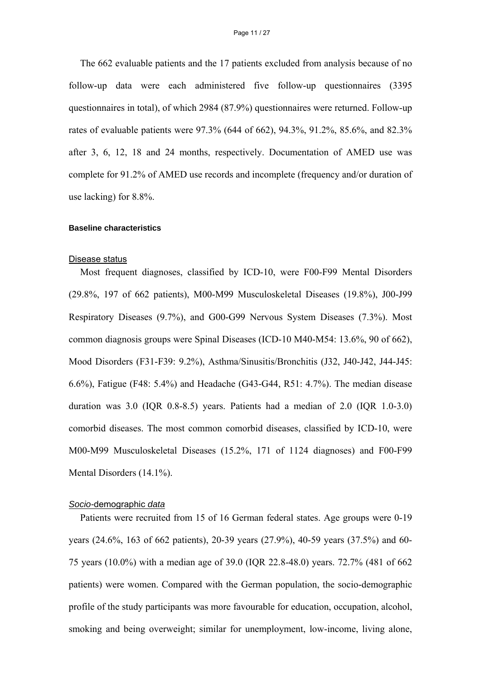The 662 evaluable patients and the 17 patients excluded from analysis because of no follow-up data were each administered five follow-up questionnaires (3395 questionnaires in total), of which 2984 (87.9%) questionnaires were returned. Follow-up rates of evaluable patients were 97.3% (644 of 662), 94.3%, 91.2%, 85.6%, and 82.3% after 3, 6, 12, 18 and 24 months, respectively. Documentation of AMED use was complete for 91.2% of AMED use records and incomplete (frequency and/or duration of use lacking) for 8.8%.

## **Baseline characteristics**

#### Disease status

Most frequent diagnoses, classified by ICD-10, were F00-F99 Mental Disorders (29.8%, 197 of 662 patients), M00-M99 Musculoskeletal Diseases (19.8%), J00-J99 Respiratory Diseases (9.7%), and G00-G99 Nervous System Diseases (7.3%). Most common diagnosis groups were Spinal Diseases (ICD-10 M40-M54: 13.6%, 90 of 662), Mood Disorders (F31-F39: 9.2%), Asthma/Sinusitis/Bronchitis (J32, J40-J42, J44-J45: 6.6%), Fatigue (F48: 5.4%) and Headache (G43-G44, R51: 4.7%). The median disease duration was  $3.0$  (IQR  $0.8-8.5$ ) years. Patients had a median of  $2.0$  (IQR  $1.0-3.0$ ) comorbid diseases. The most common comorbid diseases, classified by ICD-10, were M00-M99 Musculoskeletal Diseases (15.2%, 171 of 1124 diagnoses) and F00-F99 Mental Disorders (14.1%).

### *Socio-*demographic *data*

Patients were recruited from 15 of 16 German federal states. Age groups were 0-19 years (24.6%, 163 of 662 patients), 20-39 years (27.9%), 40-59 years (37.5%) and 60- 75 years (10.0%) with a median age of 39.0 (IQR 22.8-48.0) years. 72.7% (481 of 662 patients) were women. Compared with the German population, the socio-demographic profile of the study participants was more favourable for education, occupation, alcohol, smoking and being overweight; similar for unemployment, low-income, living alone,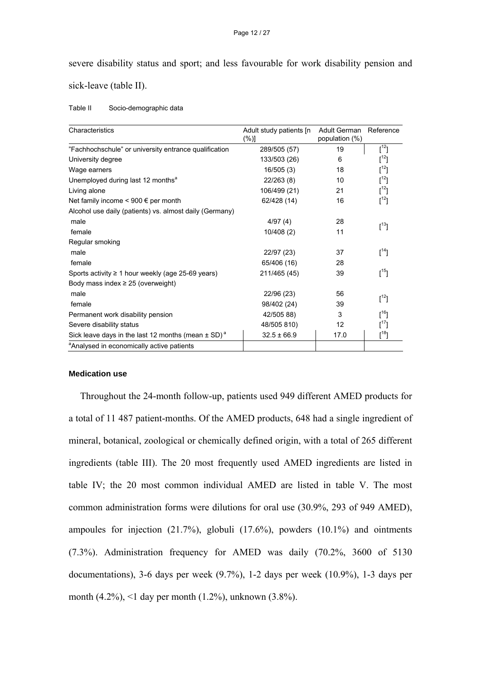severe disability status and sport; and less favourable for work disability pension and sick-leave (table II).

| Table II | Socio-demographic data |
|----------|------------------------|
|----------|------------------------|

| Characteristics                                                    | Adult study patients [n]<br>$(\%)]$ | <b>Adult German</b><br>population (%) | Reference                                                             |
|--------------------------------------------------------------------|-------------------------------------|---------------------------------------|-----------------------------------------------------------------------|
| "Fachhochschule" or university entrance qualification              | 289/505 (57)                        | 19                                    | $[1^2]$                                                               |
| University degree                                                  | 133/503 (26)                        | 6                                     | $[^{12}]$                                                             |
| Wage earners                                                       | 16/505(3)                           | 18                                    | $[1^2]$                                                               |
| Unemployed during last 12 months <sup>a</sup>                      | 22/263 (8)                          | 10                                    | $[1^2]$                                                               |
| Living alone                                                       | 106/499 (21)                        | 21                                    | $\left[ \begin{smallmatrix} 1 & 2 \\ 1 & 1 \end{smallmatrix} \right]$ |
| Net family income $\leq 900 \in$ per month                         | 62/428 (14)                         | 16                                    | $\left[ \begin{matrix} 1 & 2 \\ 1 & 1 \end{matrix} \right]$           |
| Alcohol use daily (patients) vs. almost daily (Germany)            |                                     |                                       |                                                                       |
| male                                                               | 4/97(4)                             | 28                                    | $[^{13}]$                                                             |
| female                                                             | 10/408(2)                           | 11                                    |                                                                       |
| Regular smoking                                                    |                                     |                                       |                                                                       |
| male                                                               | 22/97 (23)                          | 37                                    | $\left[ \begin{matrix} 14 \\ 1 \end{matrix} \right]$                  |
| female                                                             | 65/406 (16)                         | 28                                    |                                                                       |
| Sports activity $\geq 1$ hour weekly (age 25-69 years)             | 211/465 (45)                        | 39                                    | $[^{15}]$                                                             |
| Body mass index $\geq$ 25 (overweight)                             |                                     |                                       |                                                                       |
| male                                                               | 22/96 (23)                          | 56                                    | $\left[\begin{smallmatrix}12\\1\end{smallmatrix}\right]$              |
| female                                                             | 98/402 (24)                         | 39                                    |                                                                       |
| Permanent work disability pension                                  | 42/505 88)                          | 3                                     | [16]                                                                  |
| Severe disability status                                           | 48/505 810)                         | 12                                    | $[^{17}]$                                                             |
| Sick leave days in the last 12 months (mean $\pm$ SD) <sup>a</sup> | $32.5 \pm 66.9$                     | 17.0                                  | $[^{18}]$                                                             |
| <sup>a</sup> Analysed in economically active patients              |                                     |                                       |                                                                       |

### **Medication use**

Throughout the 24-month follow-up, patients used 949 different AMED products for a total of 11 487 patient-months. Of the AMED products, 648 had a single ingredient of mineral, botanical, zoological or chemically defined origin, with a total of 265 different ingredients (table III). The 20 most frequently used AMED ingredients are listed in table IV; the 20 most common individual AMED are listed in table V. The most common administration forms were dilutions for oral use (30.9%, 293 of 949 AMED), ampoules for injection  $(21.7\%)$ , globuli  $(17.6\%)$ , powders  $(10.1\%)$  and ointments (7.3%). Administration frequency for AMED was daily (70.2%, 3600 of 5130 documentations), 3-6 days per week (9.7%), 1-2 days per week (10.9%), 1-3 days per month (4.2%), <1 day per month (1.2%), unknown (3.8%).

#### Page 12 / 27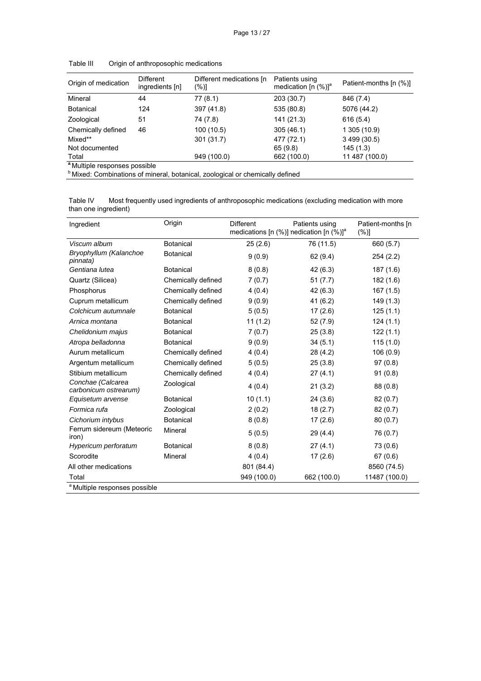| Origin of medication                     | <b>Different</b><br>ingredients [n] | Different medications [n]<br>$(\%)]$ | Patients using<br>medication $[n (%)]$ <sup>a</sup> | Patient-months [n (%)] |
|------------------------------------------|-------------------------------------|--------------------------------------|-----------------------------------------------------|------------------------|
| Mineral                                  | 44                                  | 77(8.1)                              | 203 (30.7)                                          | 846 (7.4)              |
| <b>Botanical</b>                         | 124                                 | 397 (41.8)                           | 535 (80.8)                                          | 5076 (44.2)            |
| Zoological                               | 51                                  | 74 (7.8)                             | 141 (21.3)                                          | 616(5.4)               |
| Chemically defined                       | 46                                  | 100 (10.5)                           | 305(46.1)                                           | 1 305 (10.9)           |
| Mixed**                                  |                                     | 301 (31.7)                           | 477 (72.1)                                          | 3 499 (30.5)           |
| Not documented                           |                                     |                                      | 65 (9.8)                                            | 145(1.3)               |
| Total                                    |                                     | 949 (100.0)                          | 662 (100.0)                                         | 11 487 (100.0)         |
| <sup>a</sup> Multiple responses possible |                                     |                                      |                                                     |                        |

Table III Origin of anthroposophic medications

<sup>b</sup> Mixed: Combinations of mineral, botanical, zoological or chemically defined

Table IV Most frequently used ingredients of anthroposophic medications (excluding medication with more than one ingredient)

| Ingredient                                 | Origin             | <b>Different</b> | Patients using<br>medications [n $(\%)$ ] nedication [n $(\%)$ ] <sup>a</sup> | Patient-months [n]<br>$(\%)]$ |
|--------------------------------------------|--------------------|------------------|-------------------------------------------------------------------------------|-------------------------------|
| Viscum album                               | <b>Botanical</b>   | 25(2.6)          | 76 (11.5)                                                                     | 660 (5.7)                     |
| Bryophyllum (Kalanchoe<br>pinnata)         | <b>Botanical</b>   | 9(0.9)           | 62 (9.4)                                                                      | 254 (2.2)                     |
| Gentiana lutea                             | <b>Botanical</b>   | 8(0.8)           | 42(6.3)                                                                       | 187(1.6)                      |
| Quartz (Silicea)                           | Chemically defined | 7(0.7)           | 51(7.7)                                                                       | 182(1.6)                      |
| Phosphorus                                 | Chemically defined | 4(0.4)           | 42 (6.3)                                                                      | 167(1.5)                      |
| Cuprum metallicum                          | Chemically defined | 9(0.9)           | 41(6.2)                                                                       | 149(1.3)                      |
| Colchicum autumnale                        | <b>Botanical</b>   | 5(0.5)           | 17(2.6)                                                                       | 125(1.1)                      |
| Arnica montana                             | <b>Botanical</b>   | 11(1.2)          | 52(7.9)                                                                       | 124(1.1)                      |
| Chelidonium majus                          | <b>Botanical</b>   | 7(0.7)           | 25(3.8)                                                                       | 122(1.1)                      |
| Atropa belladonna                          | <b>Botanical</b>   | 9(0.9)           | 34(5.1)                                                                       | 115(1.0)                      |
| Aurum metallicum                           | Chemically defined | 4(0.4)           | 28(4.2)                                                                       | 106(0.9)                      |
| Argentum metallicum                        | Chemically defined | 5(0.5)           | 25(3.8)                                                                       | 97(0.8)                       |
| Stibium metallicum                         | Chemically defined | 4(0.4)           | 27(4.1)                                                                       | 91(0.8)                       |
| Conchae (Calcarea<br>carbonicum ostrearum) | Zoological         | 4(0.4)           | 21(3.2)                                                                       | 88 (0.8)                      |
| Equisetum arvense                          | <b>Botanical</b>   | 10(1.1)          | 24(3.6)                                                                       | 82(0.7)                       |
| Formica rufa                               | Zoological         | 2(0.2)           | 18(2.7)                                                                       | 82(0.7)                       |
| Cichorium intybus                          | <b>Botanical</b>   | 8(0.8)           | 17(2.6)                                                                       | 80(0.7)                       |
| Ferrum sidereum (Meteoric<br>iron)         | Mineral            | 5(0.5)           | 29 (4.4)                                                                      | 76 (0.7)                      |
| Hypericum perforatum                       | <b>Botanical</b>   | 8(0.8)           | 27(4.1)                                                                       | 73 (0.6)                      |
| Scorodite                                  | <b>Mineral</b>     | 4(0.4)           | 17(2.6)                                                                       | 67(0.6)                       |
| All other medications                      |                    | 801 (84.4)       |                                                                               | 8560 (74.5)                   |
| Total                                      |                    | 949 (100.0)      | 662 (100.0)                                                                   | 11487 (100.0)                 |
| <sup>a</sup> Multiple responses possible   |                    |                  |                                                                               |                               |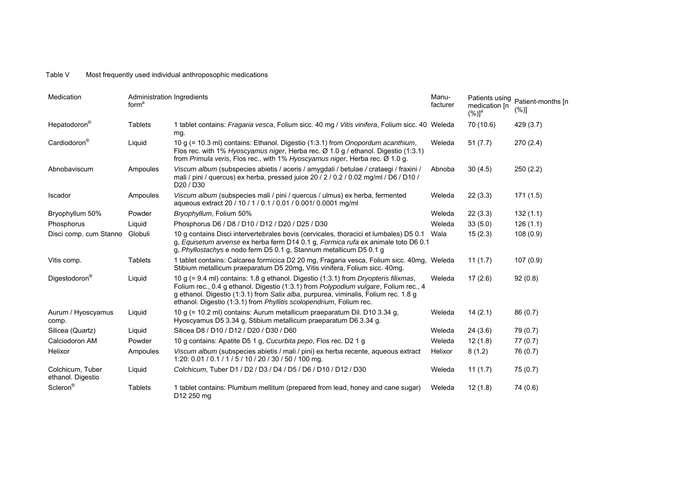#### Table V Most frequently used individual anthroposophic medications

| Medication                            | Administration Ingredients<br>form <sup>a</sup> |                                                                                                                                                                                                                                                                                                                                                   | Manu-<br>facturer | Patients using<br>medication [n<br>$(%)$ <sup>a</sup> | Patient-months [n<br>(%)] |
|---------------------------------------|-------------------------------------------------|---------------------------------------------------------------------------------------------------------------------------------------------------------------------------------------------------------------------------------------------------------------------------------------------------------------------------------------------------|-------------------|-------------------------------------------------------|---------------------------|
| Hepatodoron <sup>®</sup>              | <b>Tablets</b>                                  | 1 tablet contains: Fragaria vesca, Folium sicc. 40 mg / Vitis vinifera, Folium sicc. 40 Weleda<br>mg.                                                                                                                                                                                                                                             |                   | 70 (10.6)                                             | 429 (3.7)                 |
| Cardiodoron <sup>®</sup>              | Liguid                                          | 10 g (= 10.3 ml) contains: Ethanol. Digestio (1:3.1) from Onopordum acanthium,<br>Flos rec. with 1% Hyoscyamus niger, Herba rec. Ø 1.0 g / ethanol. Digestio (1:3.1)<br>from Primula veris, Flos rec., with 1% Hyoscyamus niger, Herba rec. Ø 1.0 g.                                                                                              | Weleda            | 51(7.7)                                               | 270(2.4)                  |
| Abnobaviscum                          | Ampoules                                        | Viscum album (subspecies abietis / aceris / amygdali / betulae / crataegi / fraxini /<br>mali / pini / quercus) ex herba, pressed juice 20 / 2 / 0.2 / 0.02 mg/ml / D6 / D10 /<br>D <sub>20</sub> / D <sub>30</sub>                                                                                                                               | Abnoba            | 30(4.5)                                               | 250(2.2)                  |
| Iscador                               | Ampoules                                        | Viscum album (subspecies mali / pini / quercus / ulmus) ex herba, fermented<br>aqueous extract 20 / 10 / 1 / 0.1 / 0.01 / 0.001/ 0.0001 mg/ml                                                                                                                                                                                                     | Weleda            | 22(3.3)                                               | 171(1.5)                  |
| Bryophyllum 50%                       | Powder                                          | Bryophyllum, Folium 50%                                                                                                                                                                                                                                                                                                                           | Weleda            | 22(3.3)                                               | 132(1.1)                  |
| Phosphorus                            | Liquid                                          | Phosphorus D6 / D8 / D10 / D12 / D20 / D25 / D30                                                                                                                                                                                                                                                                                                  | Weleda            | 33(5.0)                                               | 126(1.1)                  |
| Disci comp. cum Stanno                | Globuli                                         | 10 q contains Disci intervertebrales bovis (cervicales, thoracici et lumbales) D5 0.1<br>g, Equisetum arvense ex herba ferm D14 0.1 g, Formica rufa ex animale toto D6 0.1<br>g, Phyllostachys e nodo ferm D5 0.1 g, Stannum metallicum D5 0.1 g                                                                                                  | Wala              | 15(2.3)                                               | 108(0.9)                  |
| Vitis comp.                           | <b>Tablets</b>                                  | 1 tablet contains: Calcarea formicica D2 20 mg, Fragaria vesca, Folium sicc. 40mg, Weleda<br>Stibium metallicum praeparatum D5 20mg, Vitis vinifera, Folium sicc. 40mg.                                                                                                                                                                           |                   | 11(1.7)                                               | 107(0.9)                  |
| Digestodoron <sup>®</sup>             | Liquid                                          | 10 g (= 9.4 ml) contains: 1.8 g ethanol. Digestio (1:3.1) from <i>Dryopteris filixmas</i> ,<br>Folium rec., 0.4 g ethanol. Digestio (1:3.1) from Polypodium vulgare, Folium rec., 4<br>g ethanol. Digestio (1:3.1) from Salix alba, purpurea, viminalis, Folium rec. 1.8 g<br>ethanol. Digestio (1:3.1) from Phyllitis scolopendrium, Folium rec. | Weleda            | 17(2.6)                                               | 92(0.8)                   |
| Aurum / Hyoscyamus<br>comp.           | Liquid                                          | 10 g (= 10.2 ml) contains: Aurum metallicum praeparatum Dil. D10 3.34 g,<br>Hyoscyamus D5 3.34 g. Stibium metallicum praeparatum D6 3.34 g.                                                                                                                                                                                                       | Weleda            | 14(2.1)                                               | 86(0.7)                   |
| Silicea (Quartz)                      | Liquid                                          | Silicea D8 / D10 / D12 / D20 / D30 / D60                                                                                                                                                                                                                                                                                                          | Weleda            | 24(3.6)                                               | 79 (0.7)                  |
| Calciodoron AM                        | Powder                                          | 10 g contains: Apatite D5 1 g, Cucurbita pepo, Flos rec. D2 1 g                                                                                                                                                                                                                                                                                   | Weleda            | 12(1.8)                                               | 77(0.7)                   |
| Helixor                               | Ampoules                                        | Viscum album (subspecies abietis / mali / pini) ex herba recente, aqueous extract<br>1:20: 0.01 / 0.1 / 1 / 5 / 10 / 20 / 30 / 50 / 100 mg.                                                                                                                                                                                                       | Helixor           | 8(1.2)                                                | 76 (0.7)                  |
| Colchicum, Tuber<br>ethanol. Digestio | Liquid                                          | Colchicum, Tuber D1 / D2 / D3 / D4 / D5 / D6 / D10 / D12 / D30                                                                                                                                                                                                                                                                                    | Weleda            | 11(1.7)                                               | 75(0.7)                   |
| Scleron®                              | <b>Tablets</b>                                  | 1 tablet contains: Plumbum mellitum (prepared from lead, honey and cane sugar)<br>D12 250 mg                                                                                                                                                                                                                                                      | Weleda            | 12(1.8)                                               | 74 (0.6)                  |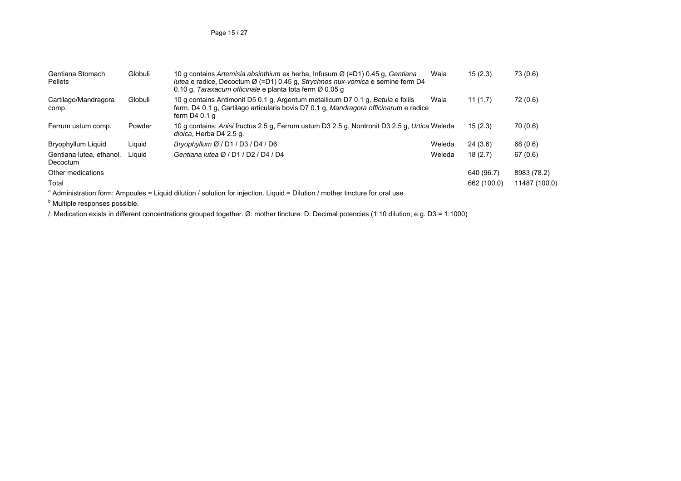Page 15 / 27

| Gentiana Stomach<br><b>Pellets</b>   | Globuli | 10 g contains Artemisia absinthium ex herba, Infusum Ø (=D1) 0.45 g, Gentiana<br><i>lutea</i> e radice, Decoctum $\varnothing$ (=D1) 0.45 g, Strychnos nux-vomica e semine ferm D4<br>0.10 g. Taraxacum officinale e planta tota ferm Ø 0.05 g | Wala   | 15(2.3)     | 73 (0.6)      |
|--------------------------------------|---------|------------------------------------------------------------------------------------------------------------------------------------------------------------------------------------------------------------------------------------------------|--------|-------------|---------------|
| Cartilago/Mandragora<br>comp.        | Globuli | 10 g contains Antimonit D5 0.1 g, Argentum metallicum D7 0.1 g, Betula e foliis<br>ferm. D4 0.1 q, Cartilago articularis bovis D7 0.1 g, Mandragora officinarum e radice<br>ferm $D40.1a$                                                      | Wala   | 11(1.7)     | 72 (0.6)      |
| Ferrum ustum comp.                   | Powder  | 10 g contains: Anisi fructus 2.5 g, Ferrum ustum D3 2.5 g, Nontronit D3 2.5 g, Urtica Weleda<br>dioica, Herba D4 2.5 g.                                                                                                                        |        | 15(2.3)     | 70 (0.6)      |
| Bryophyllum Liquid                   | Liguid  | Bryophyllum $\varnothing$ / D1 / D3 / D4 / D6                                                                                                                                                                                                  | Weleda | 24(3.6)     | 68 (0.6)      |
| Gentiana lutea, ethanol.<br>Decoctum | Liauid  | Gentiana lutea Ø / D1 / D2 / D4 / D4                                                                                                                                                                                                           | Weleda | 18(2.7)     | 67(0.6)       |
| Other medications                    |         |                                                                                                                                                                                                                                                |        | 640 (96.7)  | 8983 (78.2)   |
| Total                                |         |                                                                                                                                                                                                                                                |        | 662 (100.0) | 11487 (100.0) |
|                                      |         | <sup>a</sup> Administration form: Ampoules = Liquid dilution / solution for injection. Liquid = Dilution / mother tincture for oral use.                                                                                                       |        |             |               |

**b** Multiple responses possible.

/: Medication exists in different concentrations grouped together. Ø: mother tincture. D: Decimal potencies (1:10 dilution; e.g. D3 = 1:1000)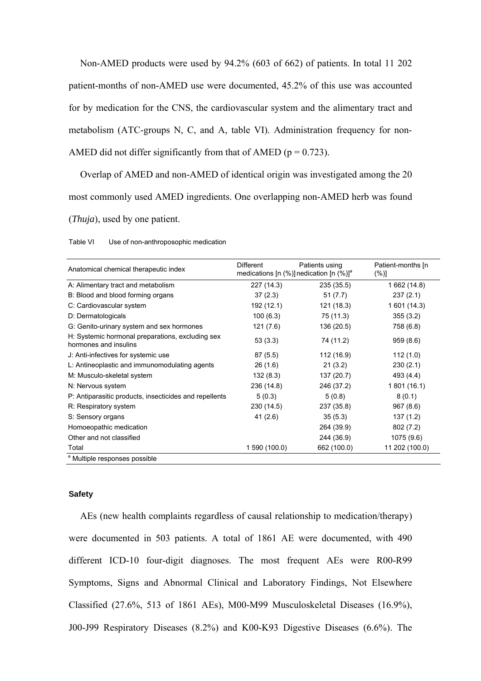Non-AMED products were used by 94.2% (603 of 662) of patients. In total 11 202 patient-months of non-AMED use were documented, 45.2% of this use was accounted for by medication for the CNS, the cardiovascular system and the alimentary tract and metabolism (ATC-groups N, C, and A, table VI). Administration frequency for non-AMED did not differ significantly from that of AMED ( $p = 0.723$ ).

Overlap of AMED and non-AMED of identical origin was investigated among the 20 most commonly used AMED ingredients. One overlapping non-AMED herb was found (*Thuja*), used by one patient.

| Anatomical chemical therapeutic index                                     | <b>Different</b> | Patients using<br>medications [n $(\%)$ ] nedication [n $(\%)$ ] <sup>a</sup> | Patient-months [n]<br>$(\%)]$ |
|---------------------------------------------------------------------------|------------------|-------------------------------------------------------------------------------|-------------------------------|
| A: Alimentary tract and metabolism                                        | 227 (14.3)       | 235 (35.5)                                                                    | 1 662 (14.8)                  |
| B: Blood and blood forming organs                                         | 37(2.3)          | 51(7.7)                                                                       | 237(2.1)                      |
| C: Cardiovascular system                                                  | 192 (12.1)       | 121 (18.3)                                                                    | 1 601 (14.3)                  |
| D: Dermatologicals                                                        | 100(6.3)         | 75 (11.3)                                                                     | 355(3.2)                      |
| G: Genito-urinary system and sex hormones                                 | 121 (7.6)        | 136 (20.5)                                                                    | 758 (6.8)                     |
| H: Systemic hormonal preparations, excluding sex<br>hormones and insulins | 53(3.3)          | 74 (11.2)                                                                     | 959(8.6)                      |
| J: Anti-infectives for systemic use                                       | 87(5.5)          | 112 (16.9)                                                                    | 112(1.0)                      |
| L: Antineoplastic and immunomodulating agents                             | 26(1.6)          | 21(3.2)                                                                       | 230(2.1)                      |
| M: Musculo-skeletal system                                                | 132(8.3)         | 137 (20.7)                                                                    | 493 (4.4)                     |
| N: Nervous system                                                         | 236 (14.8)       | 246 (37.2)                                                                    | 1 801 (16.1)                  |
| P: Antiparasitic products, insecticides and repellents                    | 5(0.3)           | 5(0.8)                                                                        | 8(0.1)                        |
| R: Respiratory system                                                     | 230 (14.5)       | 237 (35.8)                                                                    | 967(8.6)                      |
| S: Sensory organs                                                         | 41(2.6)          | 35(5.3)                                                                       | 137(1.2)                      |
| Homoeopathic medication                                                   |                  | 264 (39.9)                                                                    | 802 (7.2)                     |
| Other and not classified                                                  |                  | 244 (36.9)                                                                    | 1075 (9.6)                    |
| Total                                                                     | 1 590 (100.0)    | 662 (100.0)                                                                   | 11 202 (100.0)                |
| <sup>a</sup> Multiple responses possible                                  |                  |                                                                               |                               |

Table VI Use of non-anthroposophic medication

### **Safety**

AEs (new health complaints regardless of causal relationship to medication/therapy) were documented in 503 patients. A total of 1861 AE were documented, with 490 different ICD-10 four-digit diagnoses. The most frequent AEs were R00-R99 Symptoms, Signs and Abnormal Clinical and Laboratory Findings, Not Elsewhere Classified (27.6%, 513 of 1861 AEs), M00-M99 Musculoskeletal Diseases (16.9%), J00-J99 Respiratory Diseases (8.2%) and K00-K93 Digestive Diseases (6.6%). The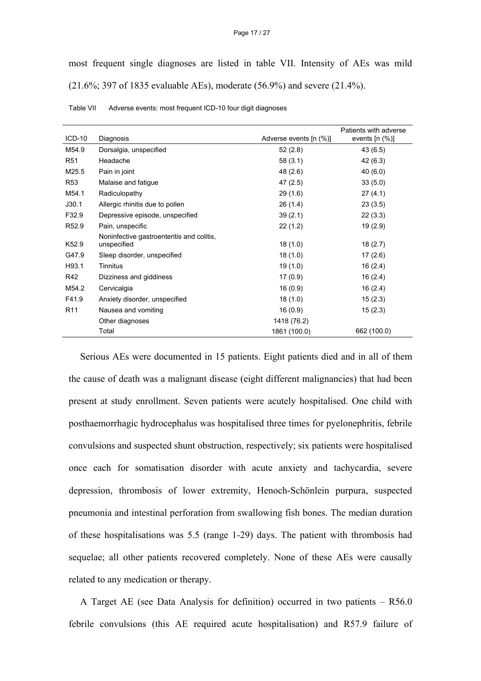#### Page 17 / 27

most frequent single diagnoses are listed in table VII. Intensity of AEs was mild (21.6%; 397 of 1835 evaluable AEs), moderate (56.9%) and severe (21.4%).

| $ICD-10$          | Diagnosis                                 | Adverse events [n (%)] | Patients with adverse<br>events $[n (%)]$ |
|-------------------|-------------------------------------------|------------------------|-------------------------------------------|
|                   |                                           |                        |                                           |
| M54.9             | Dorsalgia, unspecified                    | 52 (2.8)               | 43 (6.5)                                  |
| R <sub>51</sub>   | Headache                                  | 58(3.1)                | 42 (6.3)                                  |
| M25.5             | Pain in joint                             | 48 (2.6)               | 40(6.0)                                   |
| R <sub>53</sub>   | Malaise and fatigue                       | 47(2.5)                | 33(5.0)                                   |
| M54.1             | Radiculopathy                             | 29(1.6)                | 27(4.1)                                   |
| J30.1             | Allergic rhinitis due to pollen           | 26(1.4)                | 23(3.5)                                   |
| F32.9             | Depressive episode, unspecified           | 39(2.1)                | 22(3.3)                                   |
| R <sub>52.9</sub> | Pain, unspecific                          | 22(1.2)                | 19 (2.9)                                  |
|                   | Noninfective gastroenteritis and colitis, |                        |                                           |
| K52.9             | unspecified                               | 18(1.0)                | 18(2.7)                                   |
| G47.9             | Sleep disorder, unspecified               | 18(1.0)                | 17(2.6)                                   |
| H93.1             | Tinnitus                                  | 19(1.0)                | 16(2.4)                                   |
| R42               | Dizziness and giddiness                   | 17(0.9)                | 16(2.4)                                   |
| M54.2             | Cervicalgia                               | 16(0.9)                | 16 (2.4)                                  |
| F41.9             | Anxiety disorder, unspecified             | 18(1.0)                | 15(2.3)                                   |
| R <sub>11</sub>   | Nausea and vomiting                       | 16(0.9)                | 15(2.3)                                   |
|                   | Other diagnoses                           | 1418 (76.2)            |                                           |
|                   | Total                                     | 1861 (100.0)           | 662 (100.0)                               |

| Table VII | Adverse events: most frequent ICD-10 four digit diagnoses |
|-----------|-----------------------------------------------------------|
|-----------|-----------------------------------------------------------|

Serious AEs were documented in 15 patients. Eight patients died and in all of them the cause of death was a malignant disease (eight different malignancies) that had been present at study enrollment. Seven patients were acutely hospitalised. One child with posthaemorrhagic hydrocephalus was hospitalised three times for pyelonephritis, febrile convulsions and suspected shunt obstruction, respectively; six patients were hospitalised once each for somatisation disorder with acute anxiety and tachycardia, severe depression, thrombosis of lower extremity, Henoch-Schönlein purpura, suspected pneumonia and intestinal perforation from swallowing fish bones. The median duration of these hospitalisations was 5.5 (range 1-29) days. The patient with thrombosis had sequelae; all other patients recovered completely. None of these AEs were causally related to any medication or therapy.

A Target AE (see Data Analysis for definition) occurred in two patients – R56.0 febrile convulsions (this AE required acute hospitalisation) and R57.9 failure of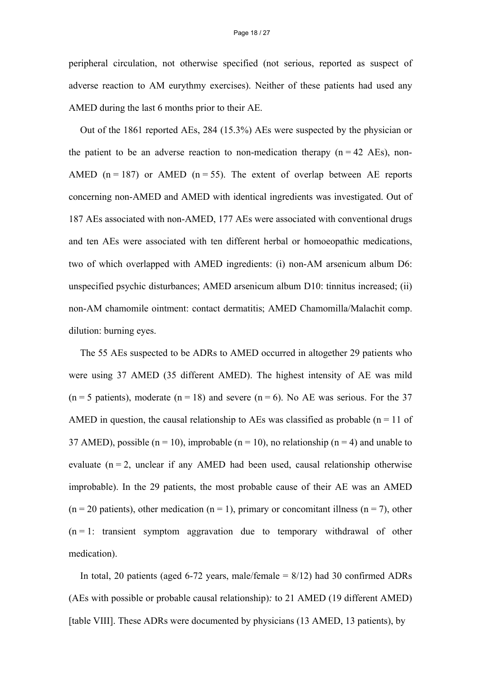peripheral circulation, not otherwise specified (not serious, reported as suspect of adverse reaction to AM eurythmy exercises). Neither of these patients had used any AMED during the last 6 months prior to their AE.

Out of the 1861 reported AEs, 284 (15.3%) AEs were suspected by the physician or the patient to be an adverse reaction to non-medication therapy  $(n = 42 \text{ AEs})$ , non-AMED ( $n = 187$ ) or AMED ( $n = 55$ ). The extent of overlap between AE reports concerning non-AMED and AMED with identical ingredients was investigated. Out of 187 AEs associated with non-AMED, 177 AEs were associated with conventional drugs and ten AEs were associated with ten different herbal or homoeopathic medications, two of which overlapped with AMED ingredients: (i) non-AM arsenicum album D6: unspecified psychic disturbances; AMED arsenicum album D10: tinnitus increased; (ii) non-AM chamomile ointment: contact dermatitis; AMED Chamomilla/Malachit comp. dilution: burning eyes.

The 55 AEs suspected to be ADRs to AMED occurred in altogether 29 patients who were using 37 AMED (35 different AMED). The highest intensity of AE was mild  $(n = 5 \text{ patients})$ , moderate  $(n = 18)$  and severe  $(n = 6)$ . No AE was serious. For the 37 AMED in question, the causal relationship to AEs was classified as probable ( $n = 11$  of 37 AMED), possible ( $n = 10$ ), improbable ( $n = 10$ ), no relationship ( $n = 4$ ) and unable to evaluate  $(n = 2$ , unclear if any AMED had been used, causal relationship otherwise improbable). In the 29 patients, the most probable cause of their AE was an AMED  $(n = 20$  patients), other medication  $(n = 1)$ , primary or concomitant illness  $(n = 7)$ , other  $(n = 1:$  transient symptom aggravation due to temporary withdrawal of other medication).

In total, 20 patients (aged 6-72 years, male/female  $= 8/12$ ) had 30 confirmed ADRs (AEs with possible or probable causal relationship)*:* to 21 AMED (19 different AMED) [table VIII]. These ADRs were documented by physicians (13 AMED, 13 patients), by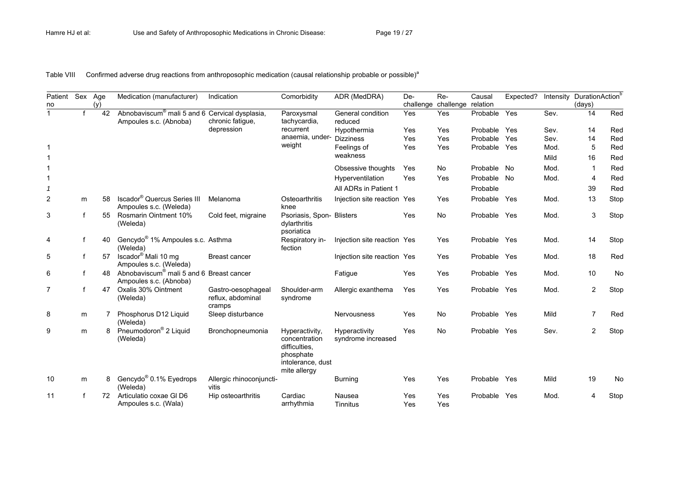Table VIII Confirmed adverse drug reactions from anthroposophic medication (causal relationship probable or possible)<sup>a</sup>

| Patient<br>no | Sex Age | (y) | Medication (manufacturer)                                                            | Indication                                        | Comorbidity                                                                                        | ADR (MedDRA)                        | De-<br>challenge | Re-<br>challenge relation | Causal       | Expected? | Intensity | DurationAction <sup>t</sup><br>(days) |      |
|---------------|---------|-----|--------------------------------------------------------------------------------------|---------------------------------------------------|----------------------------------------------------------------------------------------------------|-------------------------------------|------------------|---------------------------|--------------|-----------|-----------|---------------------------------------|------|
|               | f       | 42  | Abnobaviscum <sup>®</sup> mali 5 and 6 Cervical dysplasia,<br>Ampoules s.c. (Abnoba) | chronic fatigue,                                  | Paroxysmal<br>tachycardia,                                                                         | General condition<br>reduced        | Yes              | Yes                       | Probable     | Yes       | Sev.      | 14                                    | Red  |
|               |         |     |                                                                                      | depression                                        | recurrent                                                                                          | Hypothermia                         | Yes              | Yes                       | Probable     | Yes       | Sev.      | 14                                    | Red  |
|               |         |     |                                                                                      |                                                   | anaemia, under-                                                                                    | <b>Dizziness</b>                    | Yes              | Yes                       | Probable     | Yes       | Sev.      | 14                                    | Red  |
|               |         |     |                                                                                      |                                                   | weight                                                                                             | Feelings of                         | Yes              | Yes                       | Probable Yes |           | Mod.      | 5                                     | Red  |
|               |         |     |                                                                                      |                                                   |                                                                                                    | weakness                            |                  |                           |              |           | Mild      | 16                                    | Red  |
|               |         |     |                                                                                      |                                                   |                                                                                                    | Obsessive thoughts                  | Yes              | <b>No</b>                 | Probable No  |           | Mod.      | -1                                    | Red  |
|               |         |     |                                                                                      |                                                   |                                                                                                    | Hyperventilation                    | Yes              | Yes                       | Probable No  |           | Mod.      | $\overline{4}$                        | Red  |
| $\mathcal I$  |         |     |                                                                                      |                                                   |                                                                                                    | All ADRs in Patient 1               |                  |                           | Probable     |           |           | 39                                    | Red  |
| 2             | m       | 58  | Iscador <sup>®</sup> Quercus Series III<br>Ampoules s.c. (Weleda)                    | Melanoma                                          | Osteoarthritis<br>knee                                                                             | Injection site reaction Yes         |                  | Yes                       | Probable Yes |           | Mod.      | 13                                    | Stop |
| 3             | f       | 55  | Rosmarin Ointment 10%<br>(Weleda)                                                    | Cold feet, migraine                               | Psoriasis, Spon- Blisters<br>dylarthritis<br>psoriatica                                            |                                     | Yes              | <b>No</b>                 | Probable Yes |           | Mod.      | 3                                     | Stop |
| 4             | f       | 40  | Gencydo <sup>®</sup> 1% Ampoules s.c. Asthma<br>(Weleda)                             |                                                   | Respiratory in-<br>fection                                                                         | Injection site reaction Yes         |                  | Yes                       | Probable Yes |           | Mod.      | 14                                    | Stop |
| 5             | f       | 57  | Iscador <sup>®</sup> Mali 10 mg<br>Ampoules s.c. (Weleda)                            | Breast cancer                                     |                                                                                                    | Injection site reaction Yes         |                  | Yes                       | Probable Yes |           | Mod.      | 18                                    | Red  |
| 6             | f       | 48  | Abnobaviscum <sup>®</sup> mali 5 and 6 Breast cancer<br>Ampoules s.c. (Abnoba)       |                                                   |                                                                                                    | Fatigue                             | Yes              | Yes                       | Probable Yes |           | Mod.      | 10                                    | No   |
| 7             | f       | 47  | Oxalis 30% Ointment<br>(Weleda)                                                      | Gastro-oesophageal<br>reflux, abdominal<br>cramps | Shoulder-arm<br>syndrome                                                                           | Allergic exanthema                  | Yes              | Yes                       | Probable Yes |           | Mod.      | $\mathbf{2}$                          | Stop |
| 8             | m       | 7   | Phosphorus D12 Liquid<br>(Weleda)                                                    | Sleep disturbance                                 |                                                                                                    | Nervousness                         | Yes              | <b>No</b>                 | Probable     | Yes       | Mild      | 7                                     | Red  |
| 9             | m       | 8   | Pneumodoron® 2 Liquid<br>(Weleda)                                                    | Bronchopneumonia                                  | Hyperactivity,<br>concentration<br>difficulties.<br>phosphate<br>intolerance, dust<br>mite allergy | Hyperactivity<br>syndrome increased | Yes              | No                        | Probable Yes |           | Sev.      | 2                                     | Stop |
| 10            | m       | 8   | Gencydo <sup>®</sup> 0.1% Eyedrops<br>(Weleda)                                       | Allergic rhinoconjuncti-<br>vitis                 |                                                                                                    | <b>Burning</b>                      | Yes              | Yes                       | Probable Yes |           | Mild      | 19                                    | No   |
| 11            | f       | 72  | Articulatio coxae GI D6<br>Ampoules s.c. (Wala)                                      | Hip osteoarthritis                                | Cardiac<br>arrhythmia                                                                              | Nausea<br><b>Tinnitus</b>           | Yes<br>Yes       | Yes<br>Yes                | Probable     | Yes       | Mod.      |                                       | Stop |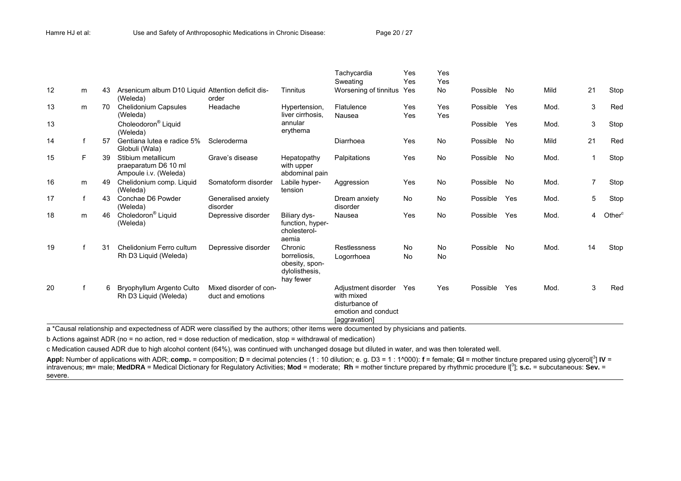|    |   |    |                                                                     |                                             |                                                               | Tachycardia<br>Sweating                                                                     | Yes<br>Yes | Yes<br>Yes |             |     |      |    |                    |
|----|---|----|---------------------------------------------------------------------|---------------------------------------------|---------------------------------------------------------------|---------------------------------------------------------------------------------------------|------------|------------|-------------|-----|------|----|--------------------|
| 12 | m | 43 | Arsenicum album D10 Liquid Attention deficit dis-<br>(Weleda)       | order                                       | Tinnitus                                                      | Worsening of tinnitus                                                                       | Yes        | <b>No</b>  | Possible    | No  | Mild | 21 | Stop               |
| 13 | m | 70 | Chelidonium Capsules<br>(Weleda)                                    | Headache                                    | Hypertension,<br>liver cirrhosis.                             | Flatulence<br>Nausea                                                                        | Yes<br>Yes | Yes<br>Yes | Possible    | Yes | Mod. | 3  | Red                |
| 13 |   |    | Choleodoron <sup>®</sup> Liquid<br>(Weleda)                         |                                             | annular<br>erythema                                           |                                                                                             |            |            | Possible    | Yes | Mod. | 3  | Stop               |
| 14 |   | 57 | Gentiana lutea e radice 5%<br>Globuli (Wala)                        | Scleroderma                                 |                                                               | Diarrhoea                                                                                   | Yes        | <b>No</b>  | Possible    | No  | Mild | 21 | Red                |
| 15 | F | 39 | Stibium metallicum<br>praeparatum D6 10 ml<br>Ampoule i.v. (Weleda) | Grave's disease                             | Hepatopathy<br>with upper<br>abdominal pain                   | Palpitations                                                                                | Yes        | <b>No</b>  | Possible No |     | Mod. |    | Stop               |
| 16 | m | 49 | Chelidonium comp. Liquid<br>(Weleda)                                | Somatoform disorder                         | Labile hyper-<br>tension                                      | Aggression                                                                                  | Yes        | <b>No</b>  | Possible    | No  | Mod. | 7  | Stop               |
| 17 | f | 43 | Conchae D6 Powder<br>(Weleda)                                       | Generalised anxiety<br>disorder             |                                                               | Dream anxiety<br>disorder                                                                   | <b>No</b>  | <b>No</b>  | Possible    | Yes | Mod. | 5  | Stop               |
| 18 | m | 46 | Choledoron <sup>®</sup> Liquid<br>(Weleda)                          | Depressive disorder                         | Biliary dys-<br>function, hyper-<br>cholesterol-<br>aemia     | Nausea                                                                                      | Yes        | <b>No</b>  | Possible    | Yes | Mod. | 4  | Other <sup>c</sup> |
| 19 |   | 31 | Chelidonium Ferro cultum                                            | Depressive disorder                         | Chronic                                                       | Restlessness                                                                                | <b>No</b>  | No         | Possible    | No  | Mod. | 14 | Stop               |
|    |   |    | Rh D3 Liquid (Weleda)                                               |                                             | borreliosis.<br>obesity, spon-<br>dylolisthesis,<br>hay fewer | Logorrhoea                                                                                  | No         | <b>No</b>  |             |     |      |    |                    |
| 20 |   | 6  | Bryophyllum Argento Culto<br>Rh D3 Liquid (Weleda)                  | Mixed disorder of con-<br>duct and emotions |                                                               | Adjustment disorder<br>with mixed<br>disturbance of<br>emotion and conduct<br>[aggravation] | Yes        | Yes        | Possible    | Yes | Mod. | 3  | Red                |

<sup>a</sup>\*Causal relationship and expectedness of ADR were classified by the authors; other items were documented by physicians and patients.

b Actions against ADR (no = no action, red = dose reduction of medication, stop = withdrawal of medication)

c Medication caused ADR due to high alcohol content (64%), was continued with unchanged dosage but diluted in water, and was then tolerated well.

Appl: Number of applications with ADR; comp. = composition;  $D$  = decimal potencies (1 : 10 dilution; e. g. D3 = 1 : 1^000): f = female; GI = mother tincture prepared using glycerol[<sup>3</sup>] IV = intravenous; **m**= male; **MedDRA** = Medical Dictionary for Regulatory Activities; **Mod** = moderate; **Rh** = mother tincture prepared by rhythmic procedure l[3]; **s.c.** = subcutaneous: **Sev.** <sup>=</sup> severe.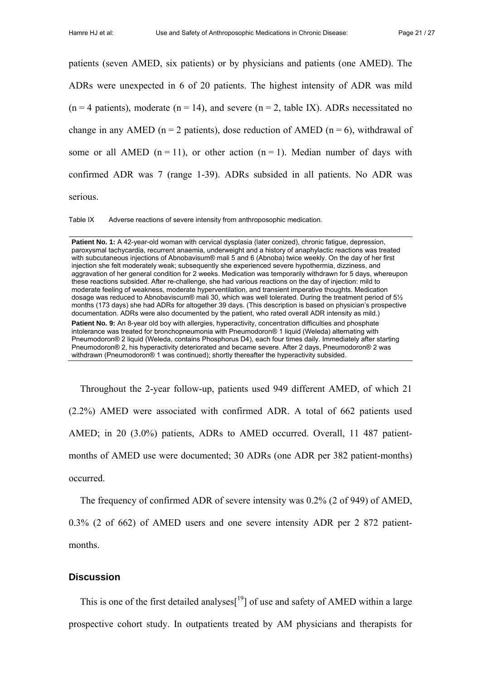patients (seven AMED, six patients) or by physicians and patients (one AMED). The ADRs were unexpected in 6 of 20 patients. The highest intensity of ADR was mild  $(n = 4 \text{ patients})$ , moderate  $(n = 14)$ , and severe  $(n = 2, \text{ table IX})$ . ADRs necessitated no change in any AMED (n = 2 patients), dose reduction of AMED (n = 6), withdrawal of some or all AMED  $(n = 11)$ , or other action  $(n = 1)$ . Median number of days with confirmed ADR was 7 (range 1-39). ADRs subsided in all patients. No ADR was serious.

Table IX Adverse reactions of severe intensity from anthroposophic medication.

withdrawn (Pneumodoron® 1 was continued); shortly thereafter the hyperactivity subsided.

Patient No. 1: A 42-year-old woman with cervical dysplasia (later conized), chronic fatigue, depression, paroxysmal tachycardia, recurrent anaemia, underweight and a history of anaphylactic reactions was treated with subcutaneous injections of Abnobavisum® mali 5 and 6 (Abnoba) twice weekly. On the day of her first injection she felt moderately weak; subsequently she experienced severe hypothermia, dizziness, and aggravation of her general condition for 2 weeks. Medication was temporarily withdrawn for 5 days, whereupon these reactions subsided. After re-challenge, she had various reactions on the day of injection: mild to moderate feeling of weakness, moderate hyperventilation, and transient imperative thoughts. Medication dosage was reduced to Abnobaviscum® mali 30, which was well tolerated. During the treatment period of 5½ months (173 days) she had ADRs for altogether 39 days. (This description is based on physician's prospective documentation. ADRs were also documented by the patient, who rated overall ADR intensity as mild.) Patient No. 9: An 8-year old boy with allergies, hyperactivity, concentration difficulties and phosphate intolerance was treated for bronchopneumonia with Pneumodoron® 1 liquid (Weleda) alternating with Pneumodoron® 2 liquid (Weleda, contains Phosphorus D4), each four times daily. Immediately after starting Pneumodoron® 2, his hyperactivity deteriorated and became severe. After 2 days, Pneumodoron® 2 was

Throughout the 2-year follow-up, patients used 949 different AMED, of which 21 (2.2%) AMED were associated with confirmed ADR. A total of 662 patients used AMED; in 20 (3.0%) patients, ADRs to AMED occurred. Overall, 11 487 patientmonths of AMED use were documented; 30 ADRs (one ADR per 382 patient-months) occurred.

The frequency of confirmed ADR of severe intensity was 0.2% (2 of 949) of AMED,

0.3% (2 of 662) of AMED users and one severe intensity ADR per 2 872 patientmonths.

#### **Discussion**

This is one of the first detailed analyses $[19]$  of use and safety of AMED within a large prospective cohort study. In outpatients treated by AM physicians and therapists for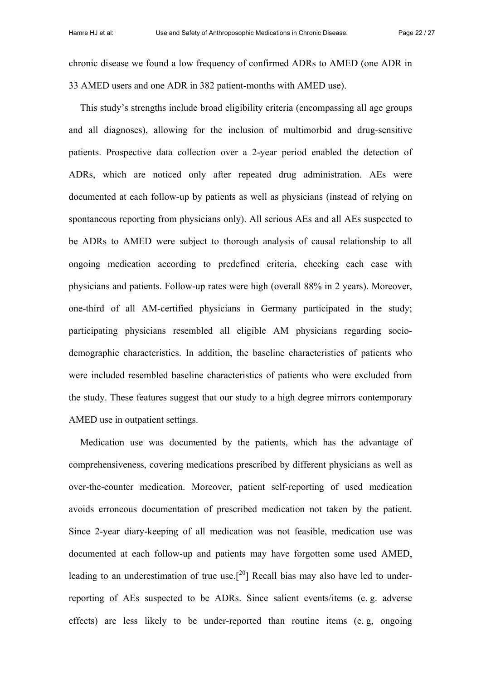chronic disease we found a low frequency of confirmed ADRs to AMED (one ADR in 33 AMED users and one ADR in 382 patient-months with AMED use).

This study's strengths include broad eligibility criteria (encompassing all age groups and all diagnoses), allowing for the inclusion of multimorbid and drug-sensitive patients. Prospective data collection over a 2-year period enabled the detection of ADRs, which are noticed only after repeated drug administration. AEs were documented at each follow-up by patients as well as physicians (instead of relying on spontaneous reporting from physicians only). All serious AEs and all AEs suspected to be ADRs to AMED were subject to thorough analysis of causal relationship to all ongoing medication according to predefined criteria, checking each case with physicians and patients. Follow-up rates were high (overall 88% in 2 years). Moreover, one-third of all AM-certified physicians in Germany participated in the study; participating physicians resembled all eligible AM physicians regarding sociodemographic characteristics. In addition, the baseline characteristics of patients who were included resembled baseline characteristics of patients who were excluded from the study. These features suggest that our study to a high degree mirrors contemporary AMED use in outpatient settings.

Medication use was documented by the patients, which has the advantage of comprehensiveness, covering medications prescribed by different physicians as well as over-the-counter medication. Moreover, patient self-reporting of used medication avoids erroneous documentation of prescribed medication not taken by the patient. Since 2-year diary-keeping of all medication was not feasible, medication use was documented at each follow-up and patients may have forgotten some used AMED, leading to an underestimation of true use.<sup>[20</sup>] Recall bias may also have led to underreporting of AEs suspected to be ADRs. Since salient events/items (e. g. adverse effects) are less likely to be under-reported than routine items (e. g, ongoing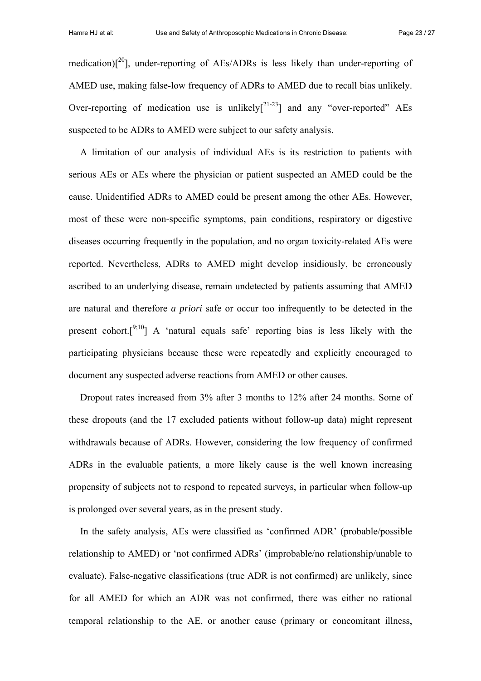medication) $[20]$ , under-reporting of AEs/ADRs is less likely than under-reporting of AMED use, making false-low frequency of ADRs to AMED due to recall bias unlikely. Over-reporting of medication use is unlikely $[2^{1-23}]$  and any "over-reported" AEs suspected to be ADRs to AMED were subject to our safety analysis.

A limitation of our analysis of individual AEs is its restriction to patients with serious AEs or AEs where the physician or patient suspected an AMED could be the cause. Unidentified ADRs to AMED could be present among the other AEs. However, most of these were non-specific symptoms, pain conditions, respiratory or digestive diseases occurring frequently in the population, and no organ toxicity-related AEs were reported. Nevertheless, ADRs to AMED might develop insidiously, be erroneously ascribed to an underlying disease, remain undetected by patients assuming that AMED are natural and therefore *a priori* safe or occur too infrequently to be detected in the present cohort.<sup>[9;10</sup>] A 'natural equals safe' reporting bias is less likely with the participating physicians because these were repeatedly and explicitly encouraged to document any suspected adverse reactions from AMED or other causes.

Dropout rates increased from 3% after 3 months to 12% after 24 months. Some of these dropouts (and the 17 excluded patients without follow-up data) might represent withdrawals because of ADRs. However, considering the low frequency of confirmed ADRs in the evaluable patients, a more likely cause is the well known increasing propensity of subjects not to respond to repeated surveys, in particular when follow-up is prolonged over several years, as in the present study.

In the safety analysis, AEs were classified as 'confirmed ADR' (probable/possible relationship to AMED) or 'not confirmed ADRs' (improbable/no relationship/unable to evaluate). False-negative classifications (true ADR is not confirmed) are unlikely, since for all AMED for which an ADR was not confirmed, there was either no rational temporal relationship to the AE, or another cause (primary or concomitant illness,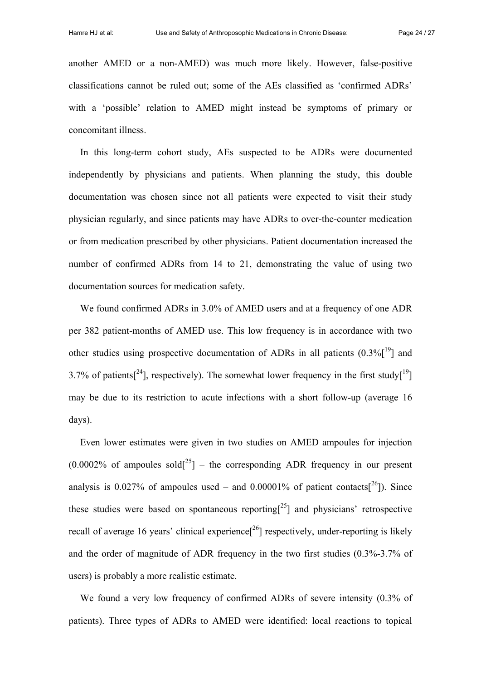another AMED or a non-AMED) was much more likely. However, false-positive classifications cannot be ruled out; some of the AEs classified as 'confirmed ADRs' with a 'possible' relation to AMED might instead be symptoms of primary or concomitant illness.

In this long-term cohort study, AEs suspected to be ADRs were documented independently by physicians and patients. When planning the study, this double documentation was chosen since not all patients were expected to visit their study physician regularly, and since patients may have ADRs to over-the-counter medication or from medication prescribed by other physicians. Patient documentation increased the number of confirmed ADRs from 14 to 21, demonstrating the value of using two documentation sources for medication safety.

We found confirmed ADRs in 3.0% of AMED users and at a frequency of one ADR per 382 patient-months of AMED use. This low frequency is in accordance with two other studies using prospective documentation of ADRs in all patients  $(0.3\%$ [<sup>19</sup>] and 3.7% of patients<sup>[24</sup>], respectively). The somewhat lower frequency in the first study<sup>[19</sup>] may be due to its restriction to acute infections with a short follow-up (average 16 days).

Even lower estimates were given in two studies on AMED ampoules for injection  $(0.0002\%$  of ampoules sold<sup>[25</sup>] – the corresponding ADR frequency in our present analysis is 0.027% of ampoules used – and 0.00001% of patient contacts[ $^{26}$ ]). Since these studies were based on spontaneous reporting<sup>[25</sup>] and physicians' retrospective recall of average 16 years' clinical experience<sup>[26</sup>] respectively, under-reporting is likely and the order of magnitude of ADR frequency in the two first studies (0.3%-3.7% of users) is probably a more realistic estimate.

We found a very low frequency of confirmed ADRs of severe intensity (0.3% of patients). Three types of ADRs to AMED were identified: local reactions to topical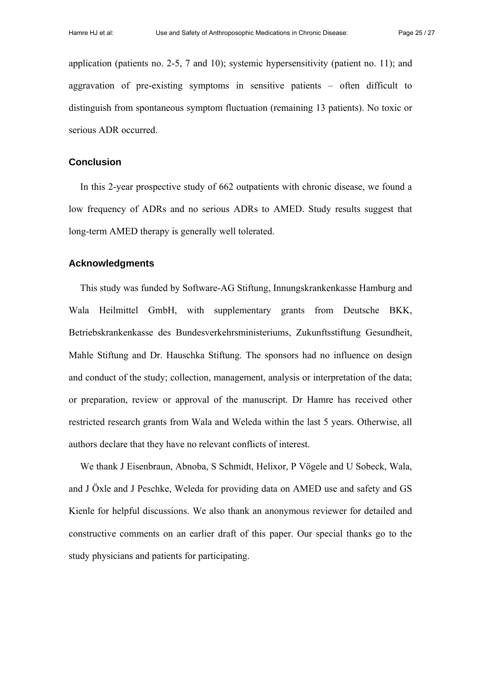application (patients no. 2-5, 7 and 10); systemic hypersensitivity (patient no. 11); and aggravation of pre-existing symptoms in sensitive patients – often difficult to distinguish from spontaneous symptom fluctuation (remaining 13 patients). No toxic or serious ADR occurred.

## **Conclusion**

In this 2-year prospective study of 662 outpatients with chronic disease, we found a low frequency of ADRs and no serious ADRs to AMED. Study results suggest that long-term AMED therapy is generally well tolerated.

# **Acknowledgments**

This study was funded by Software-AG Stiftung, Innungskrankenkasse Hamburg and Wala Heilmittel GmbH, with supplementary grants from Deutsche BKK, Betriebskrankenkasse des Bundesverkehrsministeriums, Zukunftsstiftung Gesundheit, Mahle Stiftung and Dr. Hauschka Stiftung. The sponsors had no influence on design and conduct of the study; collection, management, analysis or interpretation of the data; or preparation, review or approval of the manuscript. Dr Hamre has received other restricted research grants from Wala and Weleda within the last 5 years. Otherwise, all authors declare that they have no relevant conflicts of interest.

We thank J Eisenbraun, Abnoba, S Schmidt, Helixor, P Vögele and U Sobeck, Wala, and J Öxle and J Peschke, Weleda for providing data on AMED use and safety and GS Kienle for helpful discussions. We also thank an anonymous reviewer for detailed and constructive comments on an earlier draft of this paper. Our special thanks go to the study physicians and patients for participating.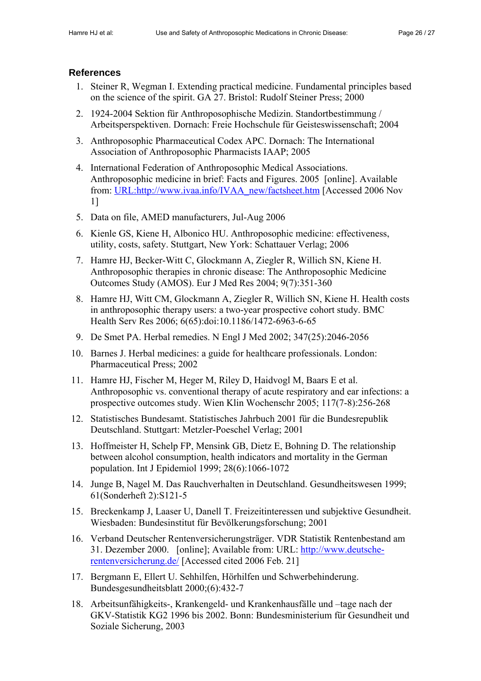# **References**

- 1. Steiner R, Wegman I. Extending practical medicine. Fundamental principles based on the science of the spirit. GA 27. Bristol: Rudolf Steiner Press; 2000
- 2. 1924-2004 Sektion für Anthroposophische Medizin. Standortbestimmung / Arbeitsperspektiven. Dornach: Freie Hochschule für Geisteswissenschaft; 2004
- 3. Anthroposophic Pharmaceutical Codex APC. Dornach: The International Association of Anthroposophic Pharmacists IAAP; 2005
- 4. International Federation of Anthroposophic Medical Associations. Anthroposophic medicine in brief: Facts and Figures. 2005 [online]. Available from: [URL:http://www.ivaa.info/IVAA\\_new/factsheet.htm](http://www.ivaa.info/IVAA_new/factsheet.htm) [Accessed 2006 Nov 1]
- 5. Data on file, AMED manufacturers, Jul-Aug 2006
- 6. Kienle GS, Kiene H, Albonico HU. Anthroposophic medicine: effectiveness, utility, costs, safety. Stuttgart, New York: Schattauer Verlag; 2006
- 7. Hamre HJ, Becker-Witt C, Glockmann A, Ziegler R, Willich SN, Kiene H. Anthroposophic therapies in chronic disease: The Anthroposophic Medicine Outcomes Study (AMOS). Eur J Med Res 2004; 9(7):351-360
- 8. Hamre HJ, Witt CM, Glockmann A, Ziegler R, Willich SN, Kiene H. Health costs in anthroposophic therapy users: a two-year prospective cohort study. BMC Health Serv Res 2006; 6(65):doi:10.1186/1472-6963-6-65
- 9. De Smet PA. Herbal remedies. N Engl J Med 2002; 347(25):2046-2056
- 10. Barnes J. Herbal medicines: a guide for healthcare professionals. London: Pharmaceutical Press; 2002
- 11. Hamre HJ, Fischer M, Heger M, Riley D, Haidvogl M, Baars E et al. Anthroposophic vs. conventional therapy of acute respiratory and ear infections: a prospective outcomes study. Wien Klin Wochenschr 2005; 117(7-8):256-268
- 12. Statistisches Bundesamt. Statistisches Jahrbuch 2001 für die Bundesrepublik Deutschland. Stuttgart: Metzler-Poeschel Verlag; 2001
- 13. Hoffmeister H, Schelp FP, Mensink GB, Dietz E, Bohning D. The relationship between alcohol consumption, health indicators and mortality in the German population. Int J Epidemiol 1999; 28(6):1066-1072
- 14. Junge B, Nagel M. Das Rauchverhalten in Deutschland. Gesundheitswesen 1999; 61(Sonderheft 2):S121-5
- 15. Breckenkamp J, Laaser U, Danell T. Freizeitinteressen und subjektive Gesundheit. Wiesbaden: Bundesinstitut für Bevölkerungsforschung; 2001
- 16. Verband Deutscher Rentenversicherungsträger. VDR Statistik Rentenbestand am 31. Dezember 2000. [online]; Available from: URL: [http://www.deutsche](http://www.deutsche-rentenversicherung.de/)[rentenversicherung.de/](http://www.deutsche-rentenversicherung.de/) [Accessed cited 2006 Feb. 21]
- 17. Bergmann E, Ellert U. Sehhilfen, Hörhilfen und Schwerbehinderung. Bundesgesundheitsblatt 2000;(6):432-7
- 18. Arbeitsunfähigkeits-, Krankengeld- und Krankenhausfälle und –tage nach der GKV-Statistik KG2 1996 bis 2002. Bonn: Bundesministerium für Gesundheit und Soziale Sicherung, 2003